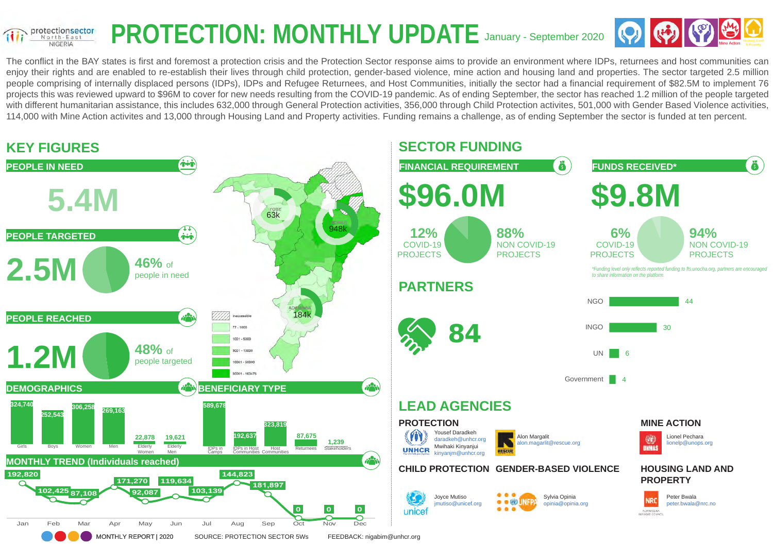#### PROTECTION: MONTHLY UPDATE January - September 2020 protectionsector North-East **NIGERIA**



The conflict in the BAY states is first and foremost a protection crisis and the Protection Sector response aims to provide an environment where IDPs, returnees and host communities can enjoy their rights and are enabled to re-establish their lives through child protection, gender-based violence, mine action and housing land and properties. The sector targeted 2.5 million people comprising of internally displaced persons (IDPs), IDPs and Refugee Returnees, and Host Communities, initially the sector had a financial requirement of \$82.5M to implement 76 projects this was reviewed upward to \$96M to cover for new needs resulting from the COVID-19 pandemic. As of ending September, the sector has reached 1.2 million of the people targeted with different humanitarian assistance, this includes 632,000 through General Protection activities, 356,000 through Child Protection activities, 501,000 with Gender Based Violence activities, 114,000 with Mine Action activites and 13,000 through Housing Land and Property activities. Funding remains a challenge, as of ending September the sector is funded at ten percent.

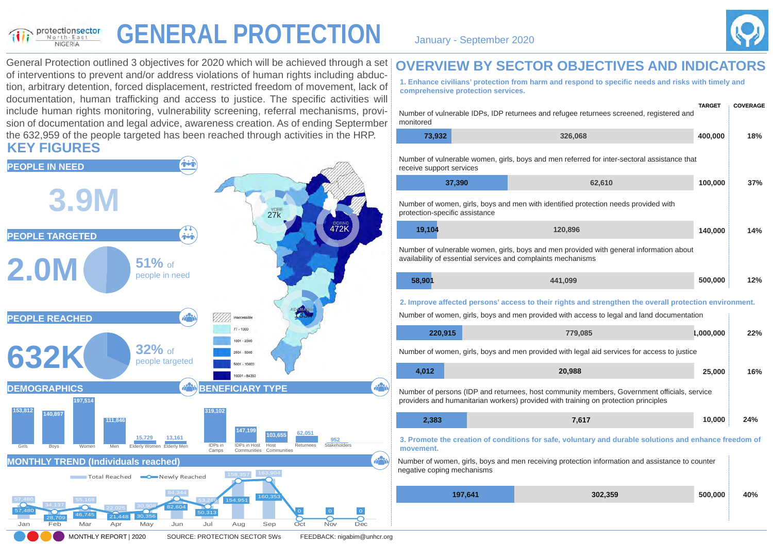#### **GENERAL PROTECTION** January - September 2020 protectionsector NIGERIA



General Protection outlined 3 objectives for 2020 which will be achieved through a set of interventions to prevent and/or address violations of human rights including abduction, arbitrary detention, forced displacement, restricted freedom of movement, lack of documentation, human trafficking and access to justice. The specific activities will include human rights monitoring, vulnerability screening, referral mechanisms, provision of documentation and legal advice, awareness creation. As of ending Septermber the 632,959 of the people targeted has been reached through activities in the HRP. **KEY FIGURES**



#### **OVERVIEW BY SECTOR OBJECTIVES AND INDICATORS**

**1. Enhance civilians' protection from harm and respond to specific needs and risks with timely and comprehensive protection services.**

| monitored                      | Number of vulnerable IDPs, IDP returnees and refugee returnees screened, registered and                                                                                                             | <b>TARGET</b> | <b>COVERAGE</b> |
|--------------------------------|-----------------------------------------------------------------------------------------------------------------------------------------------------------------------------------------------------|---------------|-----------------|
| 73,932                         | 326,068                                                                                                                                                                                             | 400,000       | 18%             |
| receive support services       | Number of vulnerable women, girls, boys and men referred for inter-sectoral assistance that                                                                                                         |               |                 |
| 37,390                         | 62,610                                                                                                                                                                                              | 100,000       | 37%             |
| protection-specific assistance | Number of women, girls, boys and men with identified protection needs provided with                                                                                                                 |               |                 |
| 19,104                         | 120,896                                                                                                                                                                                             | 140,000       | 14%             |
|                                | Number of vulnerable women, girls, boys and men provided with general information about<br>availability of essential services and complaints mechanisms                                             |               |                 |
| 58,901                         | 441,099                                                                                                                                                                                             | 500,000       | 12%             |
|                                | 2. Improve affected persons' access to their rights and strengthen the overall protection environment.<br>Number of women, girls, boys and men provided with access to legal and land documentation |               |                 |
| 220,915                        | 779,085                                                                                                                                                                                             | 1,000,000     | 22%             |
|                                |                                                                                                                                                                                                     |               |                 |
|                                | Number of women, girls, boys and men provided with legal aid services for access to justice                                                                                                         |               |                 |
| 4,012                          | 20,988                                                                                                                                                                                              | 25,000        | 16%             |
|                                | Number of persons (IDP and returnees, host community members, Government officials, service<br>providers and humanitarian workers) provided with training on protection principles                  |               |                 |
| 2,383                          | 7,617                                                                                                                                                                                               | 10,000        | 24%             |
| movement.                      | 3. Promote the creation of conditions for safe, voluntary and durable solutions and enhance freedom of                                                                                              |               |                 |
| negative coping mechanisms     | Number of women, girls, boys and men receiving protection information and assistance to counter                                                                                                     |               |                 |
| 197,641                        | 302,359                                                                                                                                                                                             | 500,000       | 40%             |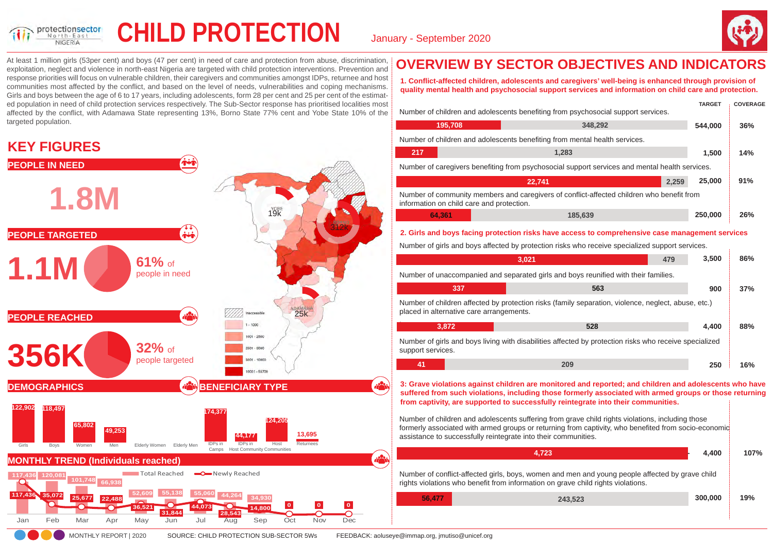

## CHILD PROTECTION January - September 2020



At least 1 million girls (53per cent) and boys (47 per cent) in need of care and protection from abuse, discrimination, exploitation, neglect and violence in north-east Nigeria are targeted with child protection interventions. Prevention and response priorities will focus on vulnerable children, their caregivers and communities amongst IDPs, returnee and host communities most affected by the conflict, and based on the level of needs, vulnerabilities and coping mechanisms. Girls and boys between the age of 6 to 17 years, including adolescents, form 28 per cent and 25 per cent of the estimated population in need of child protection services respectively. The Sub-Sector response has prioritised localities most affected by the conflict, with Adamawa State representing 13%, Borno State 77% cent and Yobe State 10% of the targeted population.

#### **KEY FIGURES**



## **OVERVIEW BY SECTOR OBJECTIVES AND INDICATORS**

**1. Conflict-affected children, adolescents and caregivers' well-being is enhanced through provision of quality mental health and psychosocial support services and information on child care and protection.**

|                                           | Number of children and adolescents benefiting from psychosocial support services.                                                                                                                                                                                                                                                                                                                          | <b>TARGET</b>   | <b>COVERAGE</b> |
|-------------------------------------------|------------------------------------------------------------------------------------------------------------------------------------------------------------------------------------------------------------------------------------------------------------------------------------------------------------------------------------------------------------------------------------------------------------|-----------------|-----------------|
| 195,708                                   | 348,292                                                                                                                                                                                                                                                                                                                                                                                                    | 544,000         | 36%             |
|                                           | Number of children and adolescents benefiting from mental health services.                                                                                                                                                                                                                                                                                                                                 |                 |                 |
| 217                                       | 1,283                                                                                                                                                                                                                                                                                                                                                                                                      | 1.500           | 14%             |
|                                           | Number of caregivers benefiting from psychosocial support services and mental health services.                                                                                                                                                                                                                                                                                                             |                 |                 |
|                                           | 22,741                                                                                                                                                                                                                                                                                                                                                                                                     | 25,000<br>2,259 | 91%             |
| information on child care and protection. | Number of community members and caregivers of conflict-affected children who benefit from                                                                                                                                                                                                                                                                                                                  |                 |                 |
| 64,361                                    | 185,639                                                                                                                                                                                                                                                                                                                                                                                                    | 250,000         | 26%             |
|                                           | Number of girls and boys affected by protection risks who receive specialized support services.<br>3,021<br>479                                                                                                                                                                                                                                                                                            | 3,500           | 86%             |
|                                           |                                                                                                                                                                                                                                                                                                                                                                                                            |                 |                 |
|                                           | Number of unaccompanied and separated girls and boys reunified with their families.                                                                                                                                                                                                                                                                                                                        |                 |                 |
| 337                                       | 563                                                                                                                                                                                                                                                                                                                                                                                                        | 900             | 37%             |
| placed in alternative care arrangements.  | Number of children affected by protection risks (family separation, violence, neglect, abuse, etc.)                                                                                                                                                                                                                                                                                                        |                 |                 |
| 3,872                                     | 528                                                                                                                                                                                                                                                                                                                                                                                                        | 4,400           | 88%             |
| support services.                         | Number of girls and boys living with disabilities affected by protection risks who receive specialized                                                                                                                                                                                                                                                                                                     |                 |                 |
| 41                                        | 209                                                                                                                                                                                                                                                                                                                                                                                                        | 250             | 16%             |
|                                           | 3: Grave violations against children are monitored and reported; and children and adolescents who have<br>suffered from such violations, including those formerly associated with armed groups or those returning<br>from captivity, are supported to successfully reintegrate into their communities.<br>Number of children and adolescents suffering from grave child rights violations, including those |                 |                 |

| ו זעוווואטו טו טווווערטוו מוזמ ממטוטטטטוווט טעווטווווע ווטוו קומזט טווווע ווקוווט זוטוממוטווט, וווטוממוווע גו |  |
|---------------------------------------------------------------------------------------------------------------|--|
| formerly associated with armed groups or returning from captivity, who benefited from socio-economic          |  |
| assistance to successfully reintegrate into their communities.                                                |  |
|                                                                                                               |  |

|        | 4.723                                                                                                                                                                               | 4.400   | 107% |
|--------|-------------------------------------------------------------------------------------------------------------------------------------------------------------------------------------|---------|------|
|        | Number of conflict-affected girls, boys, women and men and young people affected by grave child<br>rights violations who benefit from information on grave child rights violations. |         |      |
| 56.477 | 243.523                                                                                                                                                                             | 300,000 | 19%  |
|        |                                                                                                                                                                                     |         |      |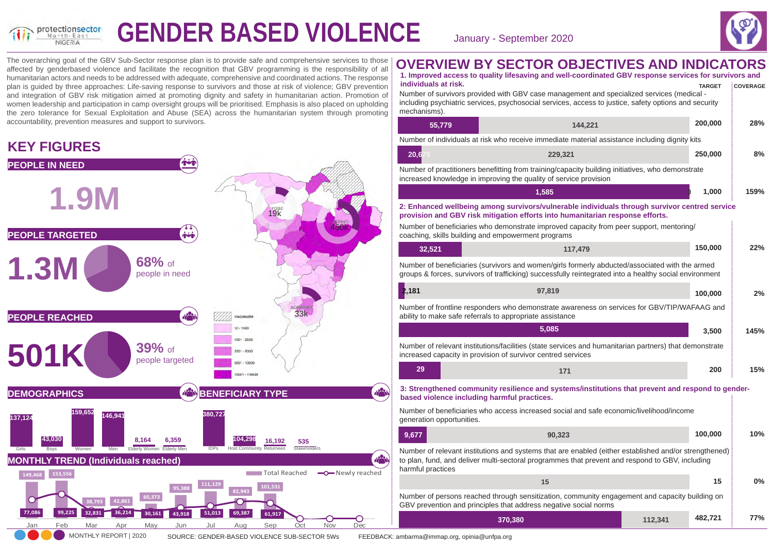

# **GENDER BASED VIOLENCE** January - September 2020



**482,721 77%**

**15 0%**

The overarching goal of the GBV Sub-Sector response plan is to provide safe and comprehensive services to those affected by genderbased violence and facilitate the recognition that GBV programming is the responsibility of all humanitarian actors and needs to be addressed with adequate, comprehensive and coordinated actions. The response plan is guided by three approaches: Life-saving response to survivors and those at risk of violence; GBV prevention and integration of GBV risk mitigation aimed at promoting dignity and safety in humanitarian action. Promotion of women leadership and participation in camp oversight groups will be prioritised. Emphasis is also placed on upholding the zero tolerance for Sexual Exploitation and Abuse (SEA) across the humanitarian system through promoting accountability, prevention measures and support to survivors.

### **KEY FIGURES**



| individuals at risk.<br>mechanisms). | Number of survivors provided with GBV case management and specialized services (medical -<br>including psychiatric services, psychosocial services, access to justice, safety options and security                                                                                                                              | <b>TARGET</b> | <b>COVERAGE</b> |
|--------------------------------------|---------------------------------------------------------------------------------------------------------------------------------------------------------------------------------------------------------------------------------------------------------------------------------------------------------------------------------|---------------|-----------------|
| 55,779                               | 144,221                                                                                                                                                                                                                                                                                                                         | 200,000       | 28%             |
|                                      | Number of individuals at risk who receive immediate material assistance including dignity kits                                                                                                                                                                                                                                  |               |                 |
| 20,6                                 | 229,321                                                                                                                                                                                                                                                                                                                         | 250,000       | 8%              |
|                                      | Number of practitioners benefitting from training/capacity building initiatives, who demonstrate<br>increased knowledge in improving the quality of service provision                                                                                                                                                           |               |                 |
|                                      | 1,585                                                                                                                                                                                                                                                                                                                           | 1,000         | 159%            |
|                                      | 2: Enhanced wellbeing among survivors/vulnerable individuals through survivor centred service<br>provision and GBV risk mitigation efforts into humanitarian response efforts.<br>Number of beneficiaries who demonstrate improved capacity from peer support, mentoring/<br>coaching, skills building and empowerment programs |               |                 |
| 32,521                               | 117,479                                                                                                                                                                                                                                                                                                                         | 150,000       | 22%             |
|                                      | Number of beneficiaries (survivors and women/girls formerly abducted/associated with the armed<br>groups & forces, survivors of trafficking) successfully reintegrated into a healthy social environment                                                                                                                        |               |                 |
| 2,181                                | 97,819                                                                                                                                                                                                                                                                                                                          | 100,000       | 2%              |
|                                      | Number of frontline responders who demonstrate awareness on services for GBV/TIP/WAFAAG and<br>ability to make safe referrals to appropriate assistance                                                                                                                                                                         |               |                 |
|                                      | 5,085                                                                                                                                                                                                                                                                                                                           | 3,500         | 145%            |
|                                      | Number of relevant institutions/facilities (state services and humanitarian partners) that demonstrate<br>increased capacity in provision of survivor centred services                                                                                                                                                          |               |                 |
| 29                                   | 171                                                                                                                                                                                                                                                                                                                             | 200           | 15%             |
|                                      | 3: Strengthened community resilience and systems/institutions that prevent and respond to gender-<br>based violence including harmful practices.                                                                                                                                                                                |               |                 |
| generation opportunities.            | Number of beneficiaries who access increased social and safe economic/livelihood/income                                                                                                                                                                                                                                         |               |                 |
| 9,677                                | 90,323                                                                                                                                                                                                                                                                                                                          | 100,000       | 10%             |
|                                      | Number of relevant institutions and systems that are enabled (either established and/or strengthened)<br>to plan, fund, and deliver multi-sectoral programmes that prevent and respond to GBV, including                                                                                                                        |               |                 |

**1. Improved access to quality lifesaving and well-coordinated GBV response services for survivors and**

**OVERVIEW BY SECTOR OBJECTIVES AND INDICATORS**

to plan, fund, and deliver multi-sectoral programmes that prevent and respond to GBV, including harmful practices

| Number of persons reached through sensitization, community engagement and capacity building on |  |
|------------------------------------------------------------------------------------------------|--|
| GBV prevention and principles that address negative social norms                               |  |

**370,380 112,341** 

**15** 

MONTHLY REPORT | 2020 SOURCE: GENDER-BASED VIOLENCE SUB-SECTOR 5Ws FEEDBACK: ambarma@immap.org, opinia@unfpa.org